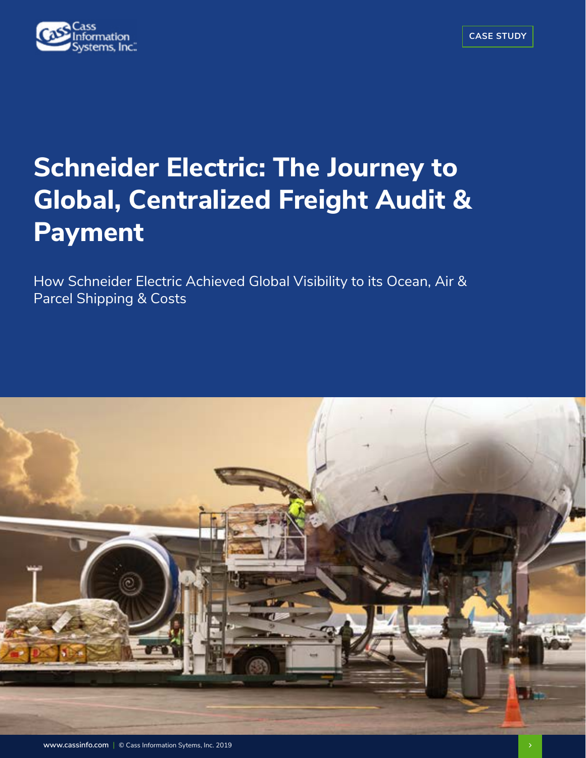

# **Schneider Electric: The Journey to Global, Centralized Freight Audit & Payment**

How Schneider Electric Achieved Global Visibility to its Ocean, Air & Parcel Shipping & Costs

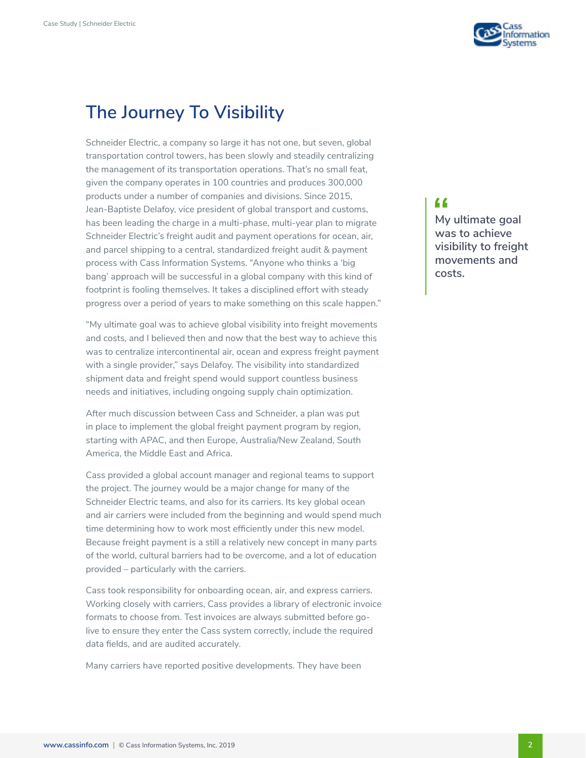

### **The Journey To Visibility**

Schneider Electric, a company so large it has not one, but seven, global transportation control towers, has been slowly and steadily centralizing the management of its transportation operations. That's no small feat, given the company operates in 100 countries and produces 300,000 products under a number of companies and divisions. Since 2015, Jean-Baptiste Delafoy, vice president of global transport and customs, has been leading the charge in a multi-phase, multi-year plan to migrate Schneider Electric's freight audit and payment operations for ocean, air, and parcel shipping to a central, standardized freight audit & payment process with Cass Information Systems. "Anyone who thinks a 'big bang' approach will be successful in a global company with this kind of footprint is fooling themselves. It takes a disciplined effort with steady progress over a period of years to make something on this scale happen."

"My ultimate goal was to achieve global visibility into freight movements and costs, and I believed then and now that the best way to achieve this was to centralize intercontinental air, ocean and express freight payment with a single provider," says Delafoy. The visibility into standardized shipment data and freight spend would support countless business needs and initiatives, including ongoing supply chain optimization.

After much discussion between Cass and Schneider, a plan was put in place to implement the global freight payment program by region, starting with APAC, and then Europe, Australia/New Zealand, South America, the Middle East and Africa.

Cass provided a global account manager and regional teams to support the project. The journey would be a major change for many of the Schneider Electric teams, and also for its carriers. Its key global ocean and air carriers were included from the beginning and would spend much time determining how to work most efficiently under this new model. Because freight payment is a still a relatively new concept in many parts of the world, cultural barriers had to be overcome, and a lot of education provided – particularly with the carriers.

Cass took responsibility for onboarding ocean, air, and express carriers. Working closely with carriers, Cass provides a library of electronic invoice formats to choose from. Test invoices are always submitted before golive to ensure they enter the Cass system correctly, include the required data fields, and are audited accurately.

Many carriers have reported positive developments. They have been

#### "

**My ultimate goal was to achieve visibility to freight movements and costs.**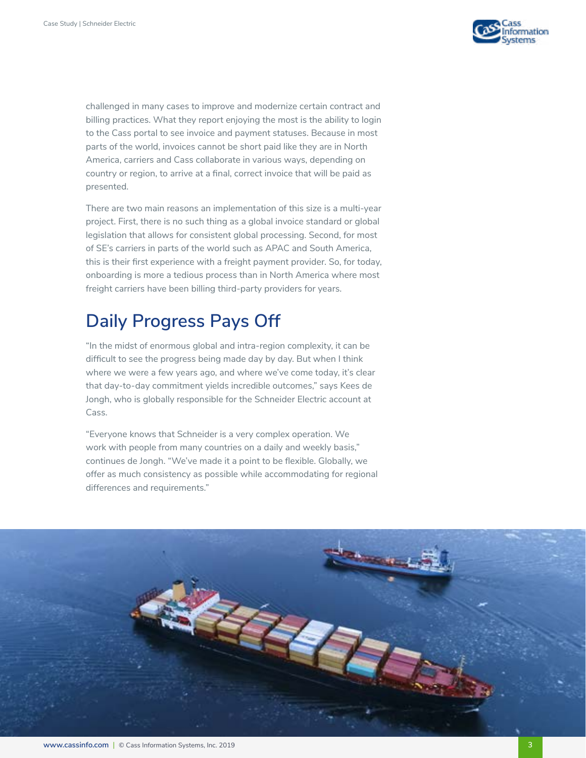

challenged in many cases to improve and modernize certain contract and billing practices. What they report enjoying the most is the ability to login to the Cass portal to see invoice and payment statuses. Because in most parts of the world, invoices cannot be short paid like they are in North America, carriers and Cass collaborate in various ways, depending on country or region, to arrive at a final, correct invoice that will be paid as presented.

There are two main reasons an implementation of this size is a multi-year project. First, there is no such thing as a global invoice standard or global legislation that allows for consistent global processing. Second, for most of SE's carriers in parts of the world such as APAC and South America, this is their first experience with a freight payment provider. So, for today, onboarding is more a tedious process than in North America where most freight carriers have been billing third-party providers for years.

# **Daily Progress Pays Off**

"In the midst of enormous global and intra-region complexity, it can be difficult to see the progress being made day by day. But when I think where we were a few years ago, and where we've come today, it's clear that day-to-day commitment yields incredible outcomes," says Kees de Jongh, who is globally responsible for the Schneider Electric account at Cass.

"Everyone knows that Schneider is a very complex operation. We work with people from many countries on a daily and weekly basis," continues de Jongh. "We've made it a point to be flexible. Globally, we offer as much consistency as possible while accommodating for regional differences and requirements."

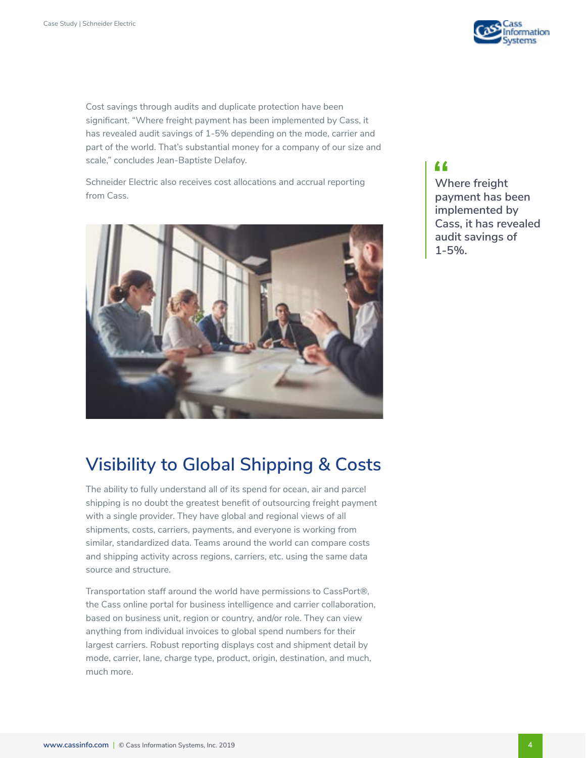

Cost savings through audits and duplicate protection have been significant. "Where freight payment has been implemented by Cass, it has revealed audit savings of 1-5% depending on the mode, carrier and part of the world. That's substantial money for a company of our size and scale," concludes Jean-Baptiste Delafoy.

Schneider Electric also receives cost allocations and accrual reporting from Cass.



#### "

**Where freight payment has been implemented by Cass, it has revealed audit savings of 1-5%.**

# **Visibility to Global Shipping & Costs**

The ability to fully understand all of its spend for ocean, air and parcel shipping is no doubt the greatest benefit of outsourcing freight payment with a single provider. They have global and regional views of all shipments, costs, carriers, payments, and everyone is working from similar, standardized data. Teams around the world can compare costs and shipping activity across regions, carriers, etc. using the same data source and structure.

Transportation staff around the world have permissions to CassPort®, the Cass online portal for business intelligence and carrier collaboration, based on business unit, region or country, and/or role. They can view anything from individual invoices to global spend numbers for their largest carriers. Robust reporting displays cost and shipment detail by mode, carrier, lane, charge type, product, origin, destination, and much, much more.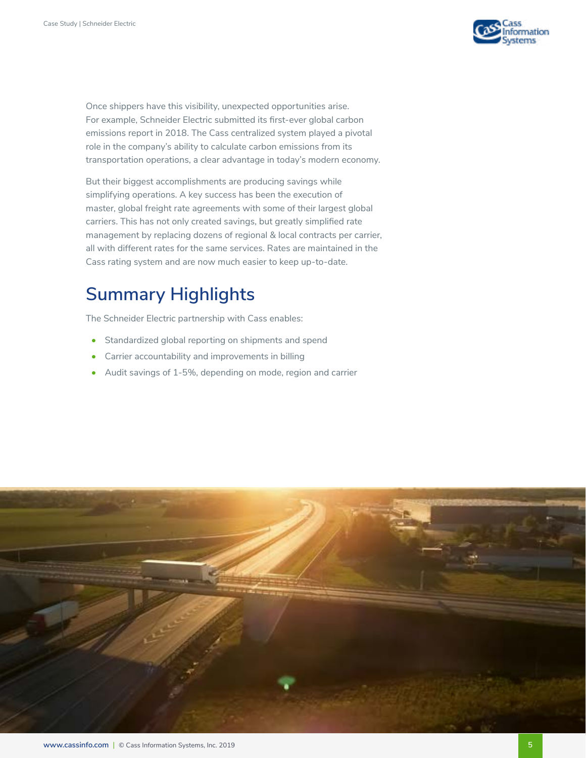

Once shippers have this visibility, unexpected opportunities arise. For example, Schneider Electric submitted its first-ever global carbon emissions report in 2018. The Cass centralized system played a pivotal role in the company's ability to calculate carbon emissions from its transportation operations, a clear advantage in today's modern economy.

But their biggest accomplishments are producing savings while simplifying operations. A key success has been the execution of master, global freight rate agreements with some of their largest global carriers. This has not only created savings, but greatly simplified rate management by replacing dozens of regional & local contracts per carrier, all with different rates for the same services. Rates are maintained in the Cass rating system and are now much easier to keep up-to-date.

# **Summary Highlights**

The Schneider Electric partnership with Cass enables:

- Standardized global reporting on shipments and spend
- Carrier accountability and improvements in billing
- Audit savings of 1-5%, depending on mode, region and carrier